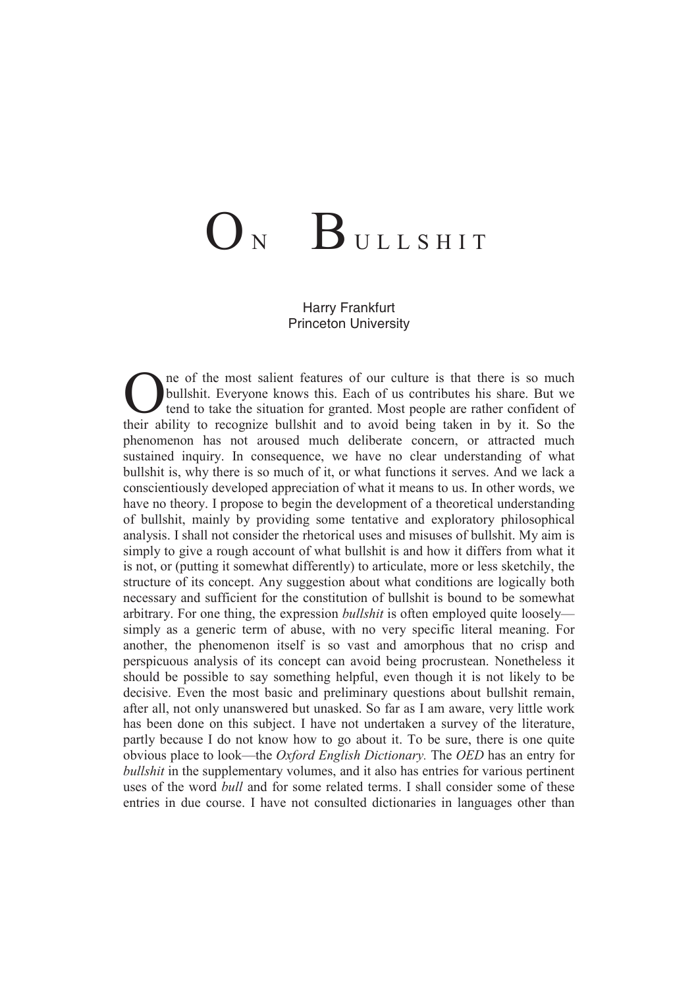## BULLSHIT

## **Harry Frankfurt Princeton University**

ne of the most salient features of our culture is that there is so much bullshit. Everyone knows this. Each of us contributes his share. But we tend to take the situation for granted. Most people are rather confident of The of the most salient features of our culture is that there is so much bullshit. Everyone knows this. Each of us contributes his share. But we tend to take the situation for granted. Most people are rather confident of t phenomenon has not aroused much deliberate concern, or attracted much sustained inquiry. In consequence, we have no clear understanding of what bullshit is, why there is so much of it, or what functions it serves. And we lack a conscientiously developed appreciation of what it means to us. In other words, we have no theory. I propose to begin the development of a theoretical understanding of bullshit, mainly by providing some tentative and exploratory philosophical analysis. I shall not consider the rhetorical uses and misuses of bullshit. My aim is simply to give a rough account of what bullshit is and how it differs from what it is not, or (putting it somewhat differently) to articulate, more or less sketchily, the structure of its concept. Any suggestion about what conditions are logically both necessary and sufficient for the constitution of bullshit is bound to be somewhat arbitrary. For one thing, the expression *bullshit* is often employed quite loosely simply as a generic term of abuse, with no very specific literal meaning. For another, the phenomenon itself is so vast and amorphous that no crisp and perspicuous analysis of its concept can avoid being procrustean. Nonetheless it should be possible to say something helpful, even though it is not likely to be decisive. Even the most basic and preliminary questions about bullshit remain, after all, not only unanswered but unasked. So far as I am aware, very little work has been done on this subject. I have not undertaken a survey of the literature, partly because I do not know how to go about it. To be sure, there is one quite obvious place to look—the *Oxford English Dictionary*. The *OED* has an entry for bullshit in the supplementary volumes, and it also has entries for various pertinent uses of the word bull and for some related terms. I shall consider some of these entries in due course. I have not consulted dictionaries in languages other than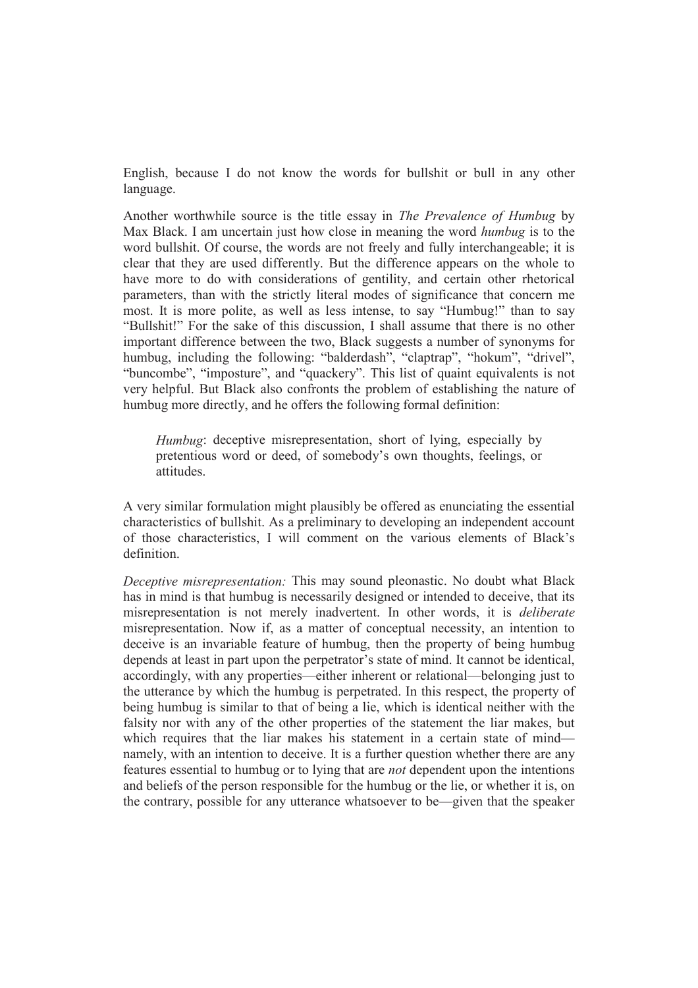English, because I do not know the words for bullshit or bull in any other language.

Another worthwhile source is the title essay in *The Prevalence of Humbug* by Max Black. I am uncertain just how close in meaning the word *humbug* is to the word bullshit. Of course, the words are not freely and fully interchangeable; it is clear that they are used differently. But the difference appears on the whole to have more to do with considerations of gentility, and certain other rhetorical parameters, than with the strictly literal modes of significance that concern me most. It is more polite, as well as less intense, to say "Humbug!" than to say "Bullshit!" For the sake of this discussion, I shall assume that there is no other important difference between the two, Black suggests a number of synonyms for humbug, including the following: "balderdash", "claptrap", "hokum", "drivel", "buncombe", "imposture", and "quackery". This list of quaint equivalents is not very helpful. But Black also confronts the problem of establishing the nature of humbug more directly, and he offers the following formal definition:

Humbug: deceptive misrepresentation, short of lying, especially by pretentious word or deed, of somebody's own thoughts, feelings, or attitudes.

A very similar formulation might plausibly be offered as enunciating the essential characteristics of bullshit. As a preliminary to developing an independent account of those characteristics, I will comment on the various elements of Black's definition.

Deceptive misrepresentation: This may sound pleonastic. No doubt what Black has in mind is that humbug is necessarily designed or intended to deceive, that its misrepresentation is not merely inadvertent. In other words, it is *deliberate* misrepresentation. Now if, as a matter of conceptual necessity, an intention to deceive is an invariable feature of humbug, then the property of being humbug depends at least in part upon the perpetrator's state of mind. It cannot be identical, accordingly, with any properties—either inherent or relational—belonging just to the utterance by which the humbug is perpetrated. In this respect, the property of being humbug is similar to that of being a lie, which is identical neither with the falsity nor with any of the other properties of the statement the liar makes, but which requires that the liar makes his statement in a certain state of mind namely, with an intention to deceive. It is a further question whether there are any features essential to humbug or to lying that are *not* dependent upon the intentions and beliefs of the person responsible for the humbug or the lie, or whether it is, on the contrary, possible for any utterance whatsoever to be—given that the speaker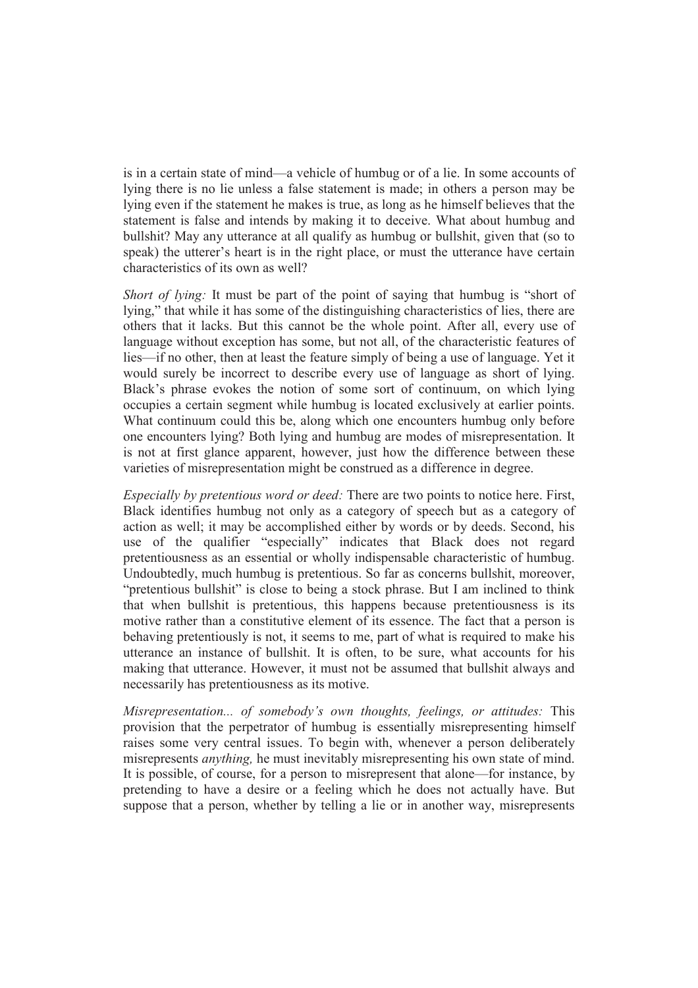is in a certain state of mind—a vehicle of humbug or of a lie. In some accounts of lying there is no lie unless a false statement is made; in others a person may be lying even if the statement he makes is true, as long as he himself believes that the statement is false and intends by making it to deceive. What about humbug and bullshit? May any utterance at all qualify as humbug or bullshit, given that (so to speak) the utterer's heart is in the right place, or must the utterance have certain characteristics of its own as well?

Short of lying: It must be part of the point of saying that humbug is "short of lying," that while it has some of the distinguishing characteristics of lies, there are others that it lacks. But this cannot be the whole point. After all, every use of language without exception has some, but not all, of the characteristic features of lies—if no other, then at least the feature simply of being a use of language. Yet it would surely be incorrect to describe every use of language as short of lying. Black's phrase evokes the notion of some sort of continuum, on which lying occupies a certain segment while humbug is located exclusively at earlier points. What continuum could this be, along which one encounters humbug only before one encounters lying? Both lying and humbug are modes of misrepresentation. It is not at first glance apparent, however, just how the difference between these varieties of misrepresentation might be construed as a difference in degree.

*Especially by pretentious word or deed:* There are two points to notice here. First, Black identifies humbug not only as a category of speech but as a category of action as well; it may be accomplished either by words or by deeds. Second, his use of the qualifier "especially" indicates that Black does not regard pretentiousness as an essential or wholly indispensable characteristic of humbug. Undoubtedly, much humbug is pretentious. So far as concerns bullshit, moreover, "pretentious bullshit" is close to being a stock phrase. But I am inclined to think that when bullshit is pretentious, this happens because pretentiousness is its motive rather than a constitutive element of its essence. The fact that a person is behaving pretentiously is not, it seems to me, part of what is required to make his utterance an instance of bullshit. It is often, to be sure, what accounts for his making that utterance. However, it must not be assumed that bullshit always and necessarily has pretentiousness as its motive.

Misrepresentation... of somebody's own thoughts, feelings, or attitudes: This provision that the perpetrator of humbug is essentially misrepresenting himself raises some very central issues. To begin with, whenever a person deliberately misrepresents *anything*, he must inevitably misrepresenting his own state of mind. It is possible, of course, for a person to misrepresent that alone—for instance, by pretending to have a desire or a feeling which he does not actually have. But suppose that a person, whether by telling a lie or in another way, misrepresents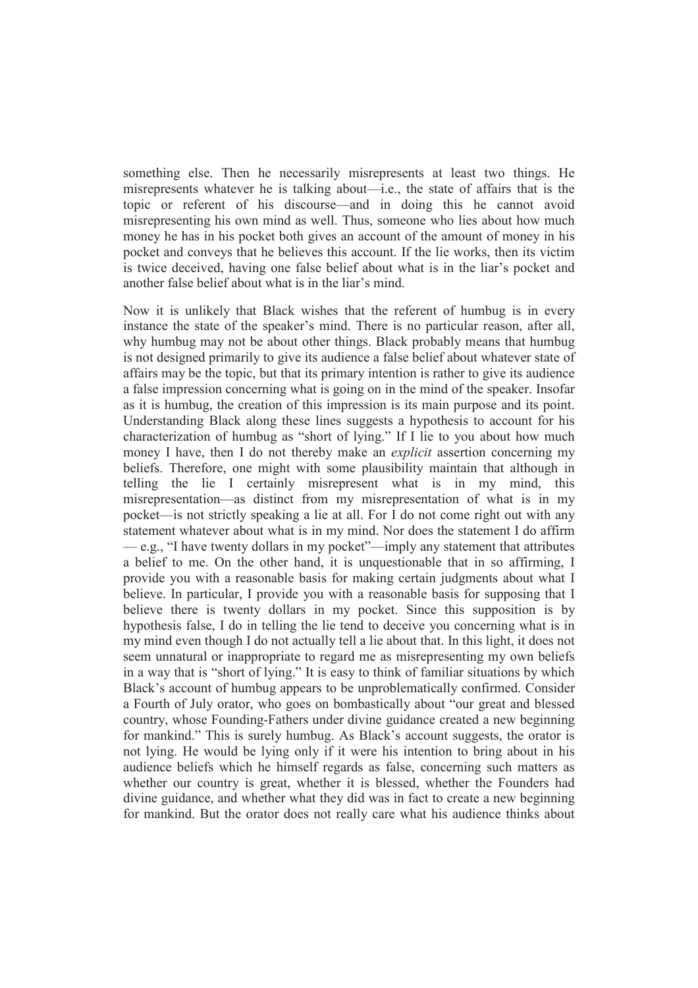something else. Then he necessarily misrepresents at least two things. He misrepresents whatever he is talking about—i.e., the state of affairs that is the topic or referent of his discourse—and in doing this he cannot avoid misrepresenting his own mind as well. Thus, someone who lies about how much money he has in his pocket both gives an account of the amount of money in his pocket and conveys that he believes this account. If the lie works, then its victim is twice deceived, having one false belief about what is in the liar's pocket and another false belief about what is in the liar's mind.

Now it is unlikely that Black wishes that the referent of humbug is in every instance the state of the speaker's mind. There is no particular reason, after all, why humbug may not be about other things. Black probably means that humbug is not designed primarily to give its audience a false belief about whatever state of affairs may be the topic, but that its primary intention is rather to give its audience a false impression concerning what is going on in the mind of the speaker. Insofar as it is humbug, the creation of this impression is its main purpose and its point. Understanding Black along these lines suggests a hypothesis to account for his characterization of humbug as "short of lying." If I lie to you about how much money I have, then I do not thereby make an *explicit* assertion concerning my beliefs. Therefore, one might with some plausibility maintain that although in telling the lie I certainly misrepresent what is in my mind, this misrepresentation—as distinct from my misrepresentation of what is in my pocket—is not strictly speaking a lie at all. For I do not come right out with any statement whatever about what is in my mind. Nor does the statement I do affirm — e.g., "I have twenty dollars in my pocket"—imply any statement that attributes a belief to me. On the other hand, it is unquestionable that in so affirming, I provide you with a reasonable basis for making certain judgments about what I believe. In particular, I provide you with a reasonable basis for supposing that I believe there is twenty dollars in my pocket. Since this supposition is by hypothesis false, I do in telling the lie tend to deceive you concerning what is in my mind even though I do not actually tell a lie about that. In this light, it does not seem unnatural or inappropriate to regard me as misrepresenting my own beliefs in a way that is "short of lying." It is easy to think of familiar situations by which Black's account of humbug appears to be unproblematically confirmed. Consider a Fourth of July orator, who goes on bombastically about "our great and blessed country, whose Founding-Fathers under divine guidance created a new beginning for mankind." This is surely humbug. As Black's account suggests, the orator is not lying. He would be lying only if it were his intention to bring about in his audience beliefs which he himself regards as false, concerning such matters as whether our country is great, whether it is blessed, whether the Founders had divine guidance, and whether what they did was in fact to create a new beginning for mankind. But the orator does not really care what his audience thinks about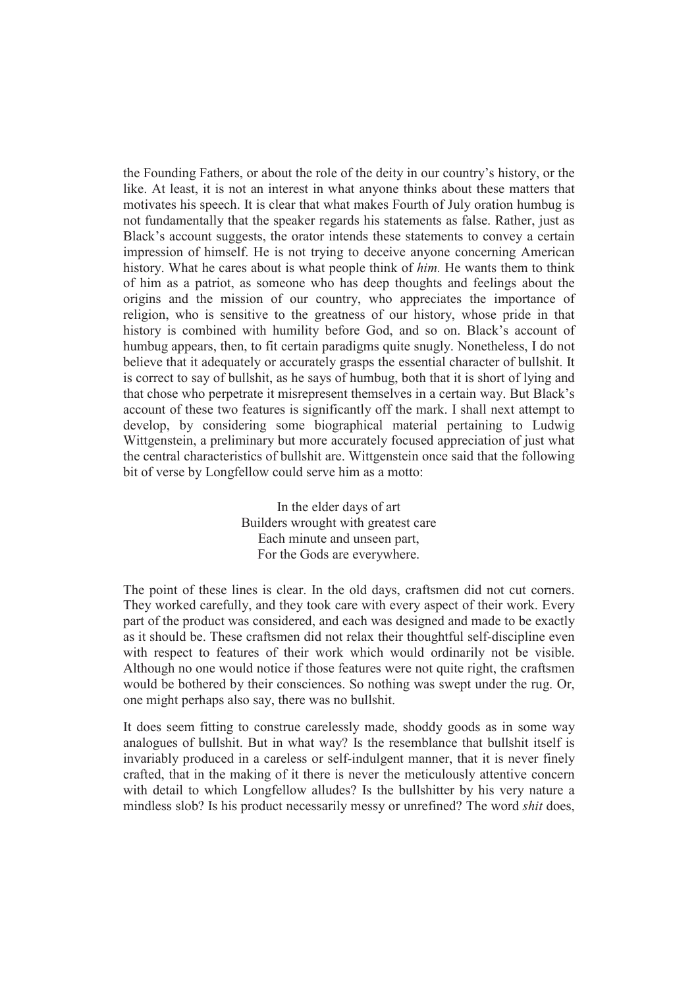the Founding Fathers, or about the role of the deity in our country's history, or the like. At least, it is not an interest in what anyone thinks about these matters that motivates his speech. It is clear that what makes Fourth of July oration humbug is not fundamentally that the speaker regards his statements as false. Rather, just as Black's account suggests, the orator intends these statements to convey a certain impression of himself. He is not trying to deceive anyone concerning American history. What he cares about is what people think of  $him$ . He wants them to think of him as a patriot, as someone who has deep thoughts and feelings about the origins and the mission of our country, who appreciates the importance of religion, who is sensitive to the greatness of our history, whose pride in that history is combined with humility before God, and so on. Black's account of humbug appears, then, to fit certain paradigms quite snugly. Nonetheless, I do not believe that it adequately or accurately grasps the essential character of bullshit. It is correct to say of bullshit, as he says of humbug, both that it is short of lying and that chose who perpetrate it misrepresent themselves in a certain way. But Black's account of these two features is significantly off the mark. I shall next attempt to develop, by considering some biographical material pertaining to Ludwig Wittgenstein, a preliminary but more accurately focused appreciation of just what the central characteristics of bullshit are. Wittgenstein once said that the following bit of verse by Longfellow could serve him as a motto:

> In the elder days of art Builders wrought with greatest care Each minute and unseen part, For the Gods are everywhere.

The point of these lines is clear. In the old days, craftsmen did not cut corners. They worked carefully, and they took care with every aspect of their work. Every part of the product was considered, and each was designed and made to be exactly as it should be. These craftsmen did not relax their thoughtful self-discipline even with respect to features of their work which would ordinarily not be visible. Although no one would notice if those features were not quite right, the craftsmen would be bothered by their consciences. So nothing was swept under the rug. Or, one might perhaps also say, there was no bullshit.

It does seem fitting to construe carelessly made, shoddy goods as in some way analogues of bullshit. But in what way? Is the resemblance that bullshit itself is invariably produced in a careless or self-indulgent manner, that it is never finely crafted, that in the making of it there is never the meticulously attentive concern with detail to which Longfellow alludes? Is the bullshitter by his very nature a mindless slob? Is his product necessarily messy or unrefined? The word *shit* does,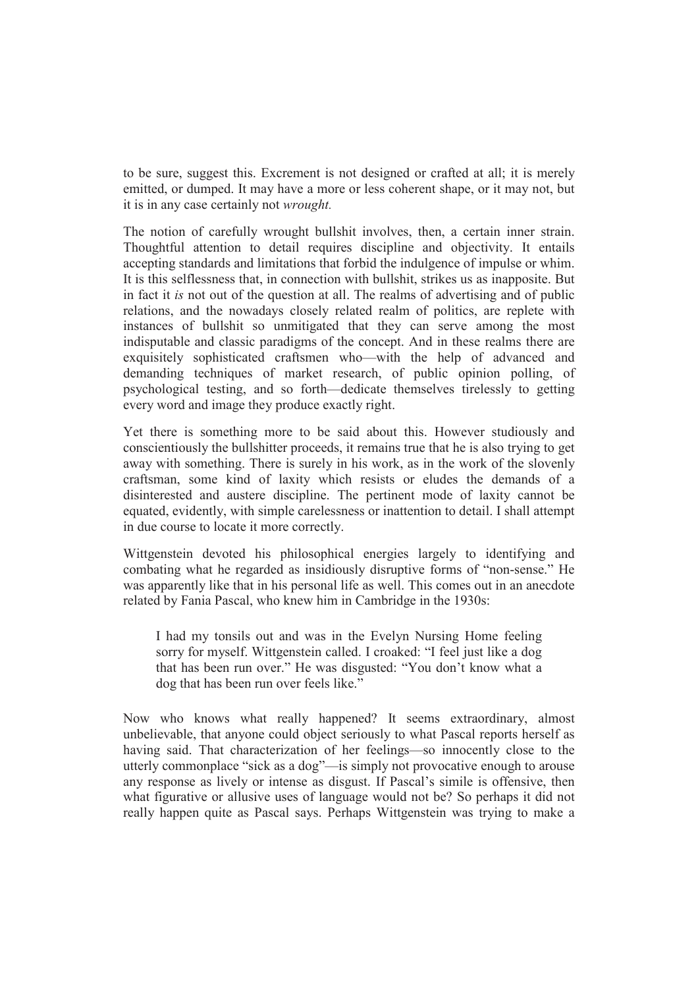to be sure, suggest this. Excrement is not designed or crafted at all; it is merely emitted, or dumped. It may have a more or less coherent shape, or it may not, but it is in any case certainly not *wrought*.

The notion of carefully wrought bullshit involves, then, a certain inner strain. Thoughtful attention to detail requires discipline and objectivity. It entails accepting standards and limitations that forbid the indulgence of impulse or whim. It is this selflessness that, in connection with bullshit, strikes us as inapposite. But in fact it  $i\dot{s}$  not out of the question at all. The realms of advertising and of public relations, and the nowadays closely related realm of politics, are replete with instances of bullshit so unmitigated that they can serve among the most indisputable and classic paradigms of the concept. And in these realms there are exquisitely sophisticated craftsmen who—with the help of advanced and demanding techniques of market research, of public opinion polling, of psychological testing, and so forth—dedicate themselves tirelessly to getting every word and image they produce exactly right.

Yet there is something more to be said about this. However studiously and conscientiously the bullshitter proceeds, it remains true that he is also trying to get away with something. There is surely in his work, as in the work of the slovenly craftsman, some kind of laxity which resists or eludes the demands of a disinterested and austere discipline. The pertinent mode of laxity cannot be equated, evidently, with simple carelessness or inattention to detail. I shall attempt in due course to locate it more correctly.

Wittgenstein devoted his philosophical energies largely to identifying and combating what he regarded as insidiously disruptive forms of "non-sense." He was apparently like that in his personal life as well. This comes out in an anecdote related by Fania Pascal, who knew him in Cambridge in the 1930s:

I had my tonsils out and was in the Evelyn Nursing Home feeling sorry for myself. Wittgenstein called. I croaked: "I feel just like a dog that has been run over." He was disgusted: "You don't know what a dog that has been run over feels like."

Now who knows what really happened? It seems extraordinary, almost unbelievable, that anyone could object seriously to what Pascal reports herself as having said. That characterization of her feelings—so innocently close to the utterly commonplace "sick as a dog"—is simply not provocative enough to arouse any response as lively or intense as disgust. If Pascal's simile is offensive, then what figurative or allusive uses of language would not be? So perhaps it did not really happen quite as Pascal says. Perhaps Wittgenstein was trying to make a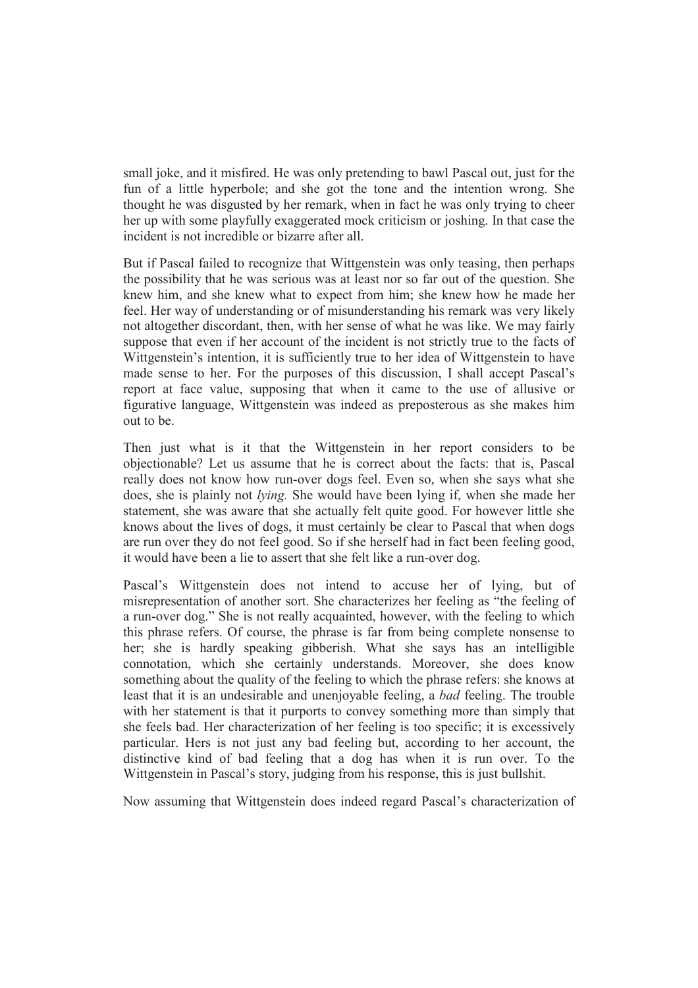small joke, and it misfired. He was only pretending to bawl Pascal out, just for the fun of a little hyperbole; and she got the tone and the intention wrong. She thought he was disgusted by her remark, when in fact he was only trying to cheer her up with some playfully exaggerated mock criticism or joshing. In that case the incident is not incredible or bizarre after all.

But if Pascal failed to recognize that Wittgenstein was only teasing, then perhaps the possibility that he was serious was at least nor so far out of the question. She knew him, and she knew what to expect from him; she knew how he made her feel. Her way of understanding or of misunderstanding his remark was very likely not altogether discordant, then, with her sense of what he was like. We may fairly suppose that even if her account of the incident is not strictly true to the facts of Wittgenstein's intention, it is sufficiently true to her idea of Wittgenstein to have made sense to her. For the purposes of this discussion, I shall accept Pascal's report at face value, supposing that when it came to the use of allusive or figurative language, Wittgenstein was indeed as preposterous as she makes him out to be.

Then just what is it that the Wittgenstein in her report considers to be objectionable? Let us assume that he is correct about the facts: that is, Pascal really does not know how run-over dogs feel. Even so, when she says what she does, she is plainly not  $lving$ . She would have been lying if, when she made her statement, she was aware that she actually felt quite good. For however little she knows about the lives of dogs, it must certainly be clear to Pascal that when dogs are run over they do not feel good. So if she herself had in fact been feeling good, it would have been a lie to assert that she felt like a run-over dog.

Pascal's Wittgenstein does not intend to accuse her of lying, but of misrepresentation of another sort. She characterizes her feeling as "the feeling of a run-over dog." She is not really acquainted, however, with the feeling to which this phrase refers. Of course, the phrase is far from being complete nonsense to her; she is hardly speaking gibberish. What she says has an intelligible connotation, which she certainly understands. Moreover, she does know something about the quality of the feeling to which the phrase refers: she knows at least that it is an undesirable and unenjoyable feeling, a *bad* feeling. The trouble with her statement is that it purports to convey something more than simply that she feels bad. Her characterization of her feeling is too specific; it is excessively particular. Hers is not just any bad feeling but, according to her account, the distinctive kind of bad feeling that a dog has when it is run over. To the Wittgenstein in Pascal's story, judging from his response, this is just bullshit.

Now assuming that Wittgenstein does indeed regard Pascal's characterization of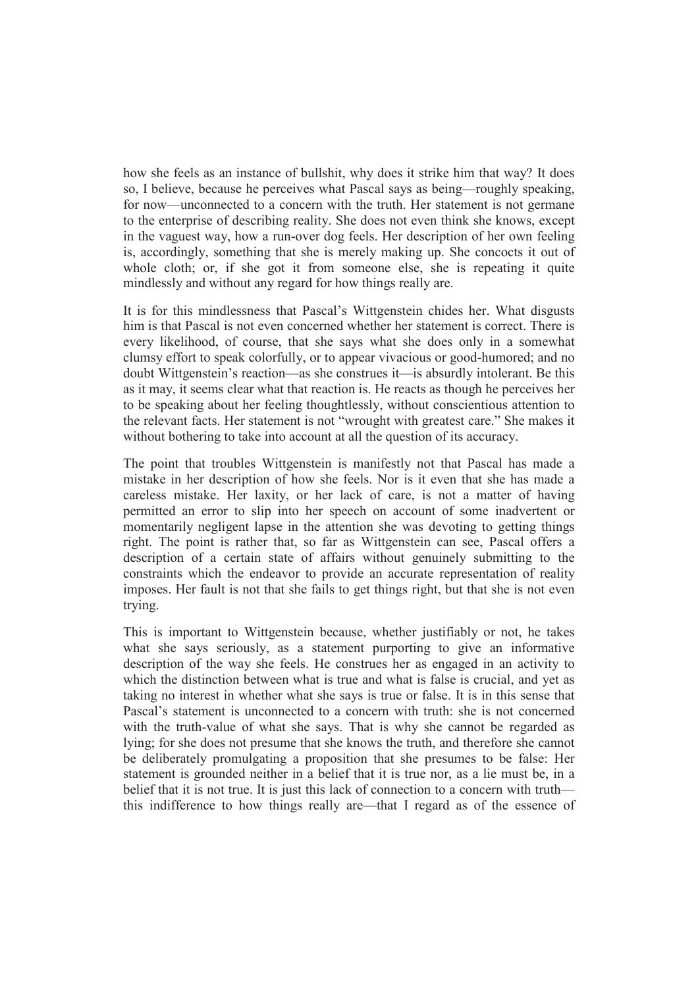how she feels as an instance of bullshit, why does it strike him that way? It does so, I believe, because he perceives what Pascal says as being—roughly speaking, for now—unconnected to a concern with the truth. Her statement is not germane to the enterprise of describing reality. She does not even think she knows, except in the vaguest way, how a run-over dog feels. Her description of her own feeling is, accordingly, something that she is merely making up. She concocts it out of whole cloth; or, if she got it from someone else, she is repeating it quite mindlessly and without any regard for how things really are.

It is for this mindlessness that Pascal's Wittgenstein chides her. What disgusts him is that Pascal is not even concerned whether her statement is correct. There is every likelihood, of course, that she says what she does only in a somewhat clumsy effort to speak colorfully, or to appear vivacious or good-humored; and no doubt Wittgenstein's reaction—as she construes it—is absurdly intolerant. Be this as it may, it seems clear what that reaction is. He reacts as though he perceives her to be speaking about her feeling thoughtlessly, without conscientious attention to the relevant facts. Her statement is not "wrought with greatest care." She makes it without bothering to take into account at all the question of its accuracy.

The point that troubles Wittgenstein is manifestly not that Pascal has made a mistake in her description of how she feels. Nor is it even that she has made a careless mistake. Her laxity, or her lack of care, is not a matter of having permitted an error to slip into her speech on account of some inadvertent or momentarily negligent lapse in the attention she was devoting to getting things right. The point is rather that, so far as Wittgenstein can see, Pascal offers a description of a certain state of affairs without genuinely submitting to the constraints which the endeavor to provide an accurate representation of reality imposes. Her fault is not that she fails to get things right, but that she is not even trying.

This is important to Wittgenstein because, whether justifiably or not, he takes what she says seriously, as a statement purporting to give an informative description of the way she feels. He construes her as engaged in an activity to which the distinction between what is true and what is false is crucial, and yet as taking no interest in whether what she says is true or false. It is in this sense that Pascal's statement is unconnected to a concern with truth: she is not concerned with the truth-value of what she says. That is why she cannot be regarded as lying; for she does not presume that she knows the truth, and therefore she cannot be deliberately promulgating a proposition that she presumes to be false: Her statement is grounded neither in a belief that it is true nor, as a lie must be, in a belief that it is not true. It is just this lack of connection to a concern with truth this indifference to how things really are—that I regard as of the essence of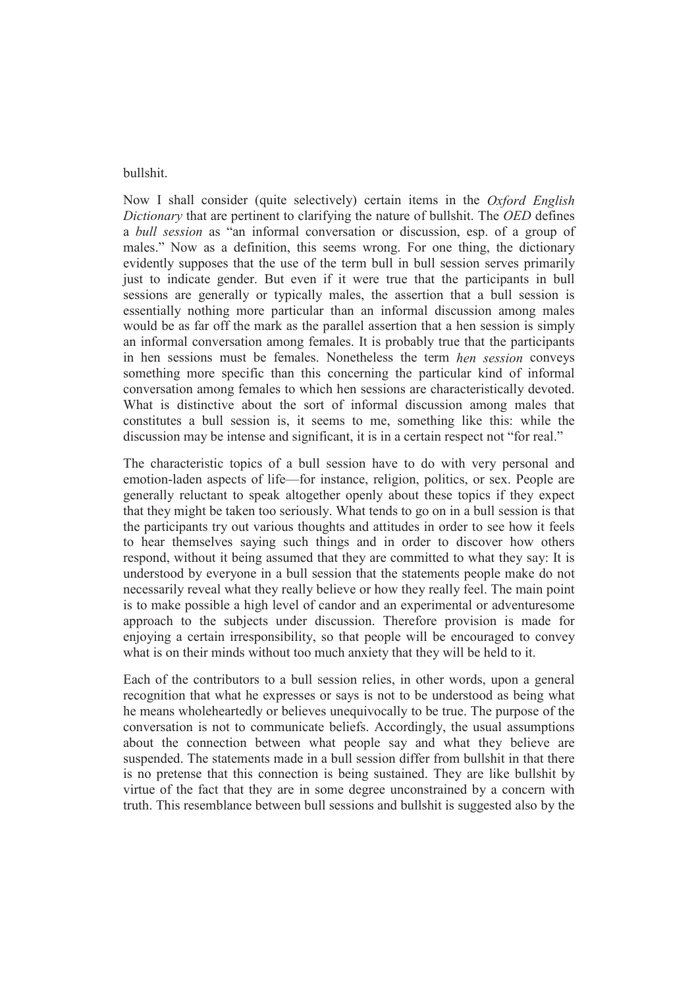## bullshit.

Now I shall consider (quite selectively) certain items in the *Oxford English* Dictionary that are pertinent to clarifying the nature of bullshit. The OED defines a bull session as "an informal conversation or discussion, esp. of a group of males." Now as a definition, this seems wrong. For one thing, the dictionary evidently supposes that the use of the term bull in bull session serves primarily just to indicate gender. But even if it were true that the participants in bull sessions are generally or typically males, the assertion that a bull session is essentially nothing more particular than an informal discussion among males would be as far off the mark as the parallel assertion that a hen session is simply an informal conversation among females. It is probably true that the participants in hen sessions must be females. Nonetheless the term hen session conveys something more specific than this concerning the particular kind of informal conversation among females to which hen sessions are characteristically devoted. What is distinctive about the sort of informal discussion among males that constitutes a bull session is, it seems to me, something like this: while the discussion may be intense and significant, it is in a certain respect not "for real."

The characteristic topics of a bull session have to do with very personal and emotion-laden aspects of life—for instance, religion, politics, or sex. People are generally reluctant to speak altogether openly about these topics if they expect that they might be taken too seriously. What tends to go on in a bull session is that the participants try out various thoughts and attitudes in order to see how it feels to hear themselves saying such things and in order to discover how others respond, without it being assumed that they are committed to what they say: It is understood by everyone in a bull session that the statements people make do not necessarily reveal what they really believe or how they really feel. The main point is to make possible a high level of candor and an experimental or adventuresome approach to the subjects under discussion. Therefore provision is made for enjoying a certain irresponsibility, so that people will be encouraged to convey what is on their minds without too much anxiety that they will be held to it.

Each of the contributors to a bull session relies, in other words, upon a general recognition that what he expresses or says is not to be understood as being what he means wholeheartedly or believes unequivocally to be true. The purpose of the conversation is not to communicate beliefs. Accordingly, the usual assumptions about the connection between what people say and what they believe are suspended. The statements made in a bull session differ from bullshit in that there is no pretense that this connection is being sustained. They are like bullshit by virtue of the fact that they are in some degree unconstrained by a concern with truth. This resemblance between bull sessions and bullshit is suggested also by the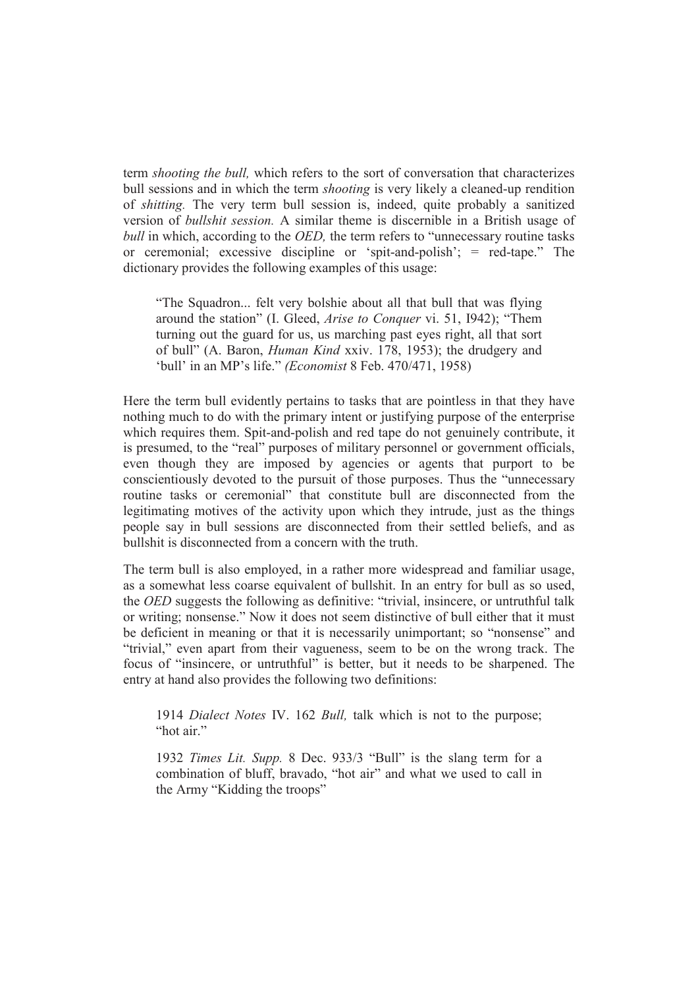term shooting the bull, which refers to the sort of conversation that characterizes bull sessions and in which the term *shooting* is very likely a cleaned-up rendition of *shitting*. The very term bull session is, indeed, quite probably a sanitized version of bullshit session. A similar theme is discernible in a British usage of  $bull$  in which, according to the  $OED$ , the term refers to "unnecessary routine tasks" or ceremonial; excessive discipline or 'spit-and-polish'; = red-tape." The dictionary provides the following examples of this usage:

"The Squadron... felt very bolshie about all that bull that was flying around the station" (I. Gleed, *Arise to Conquer* vi. 51, 1942); "Them turning out the guard for us, us marching past eyes right, all that sort of bull" (A. Baron, *Human Kind* xxiv. 178, 1953); the drudgery and 'bull' in an MP's life."  $(Economist 8 \text{ Feb. } 470/471, 1958)$ 

Here the term bull evidently pertains to tasks that are pointless in that they have nothing much to do with the primary intent or justifying purpose of the enterprise which requires them. Spit-and-polish and red tape do not genuinely contribute, it is presumed, to the "real" purposes of military personnel or government officials, even though they are imposed by agencies or agents that purport to be conscientiously devoted to the pursuit of those purposes. Thus the "unnecessary routine tasks or ceremonial" that constitute bull are disconnected from the legitimating motives of the activity upon which they intrude, just as the things people say in bull sessions are disconnected from their settled beliefs, and as bullshit is disconnected from a concern with the truth.

The term bull is also employed, in a rather more widespread and familiar usage, as a somewhat less coarse equivalent of bullshit. In an entry for bull as so used, the *OED* suggests the following as definitive: "trivial, insincere, or untruthful talk or writing; nonsense." Now it does not seem distinctive of bull either that it must be deficient in meaning or that it is necessarily unimportant; so "nonsense" and "trivial," even apart from their vagueness, seem to be on the wrong track. The focus of "insincere, or untruthful" is better, but it needs to be sharpened. The entry at hand also provides the following two definitions:

1914 *Dialect Notes IV.* 162 *Bull*, talk which is not to the purpose; "hot air"

1932 *Times Lit. Supp.* 8 Dec.  $933/3$  "Bull" is the slang term for a combination of bluff, bravado, "hot air" and what we used to call in the Army "Kidding the troops"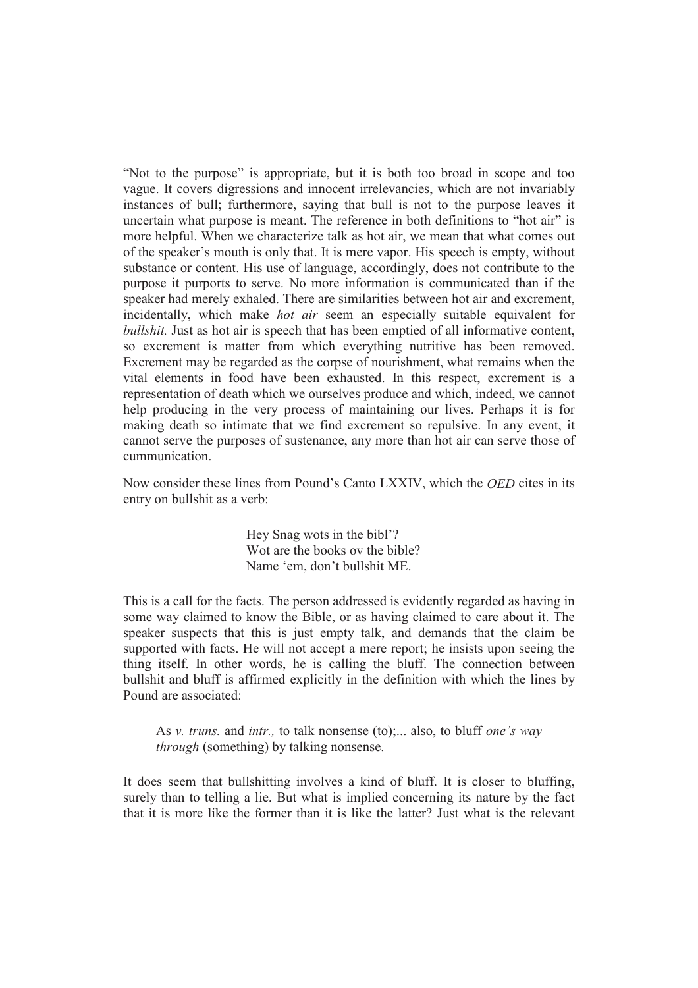"Not to the purpose" is appropriate, but it is both too broad in scope and too vague. It covers digressions and innocent irrelevancies, which are not invariably instances of bull; furthermore, saying that bull is not to the purpose leaves it uncertain what purpose is meant. The reference in both definitions to "hot air" is more helpful. When we characterize talk as hot air, we mean that what comes out of the speaker's mouth is only that. It is mere vapor. His speech is empty, without substance or content. His use of language, accordingly, does not contribute to the purpose it purports to serve. No more information is communicated than if the speaker had merely exhaled. There are similarities between hot air and excrement, incidentally, which make *hot air* seem an especially suitable equivalent for bullshit. Just as hot air is speech that has been emptied of all informative content, so excrement is matter from which everything nutritive has been removed. Excrement may be regarded as the corpse of nourishment, what remains when the vital elements in food have been exhausted. In this respect, excrement is a representation of death which we ourselves produce and which, indeed, we cannot help producing in the very process of maintaining our lives. Perhaps it is for making death so intimate that we find excrement so repulsive. In any event, it cannot serve the purposes of sustenance, any more than hot air can serve those of cummunication.

Now consider these lines from Pound's Canto LXXIV, which the *OED* cites in its entry on bullshit as a verb:

> Hey Snag wots in the bibl'? Wot are the books ov the bible? Name 'em, don't bullshit ME.

This is a call for the facts. The person addressed is evidently regarded as having in some way claimed to know the Bible, or as having claimed to care about it. The speaker suspects that this is just empty talk, and demands that the claim be supported with facts. He will not accept a mere report; he insists upon seeing the thing itself. In other words, he is calling the bluff. The connection between bullshit and bluff is affirmed explicitly in the definition with which the lines by Pound are associated:

As v. truns, and intr., to talk nonsense (to);... also, to bluff one's way through (something) by talking nonsense.

It does seem that bullshitting involves a kind of bluff. It is closer to bluffing, surely than to telling a lie. But what is implied concerning its nature by the fact that it is more like the former than it is like the latter? Just what is the relevant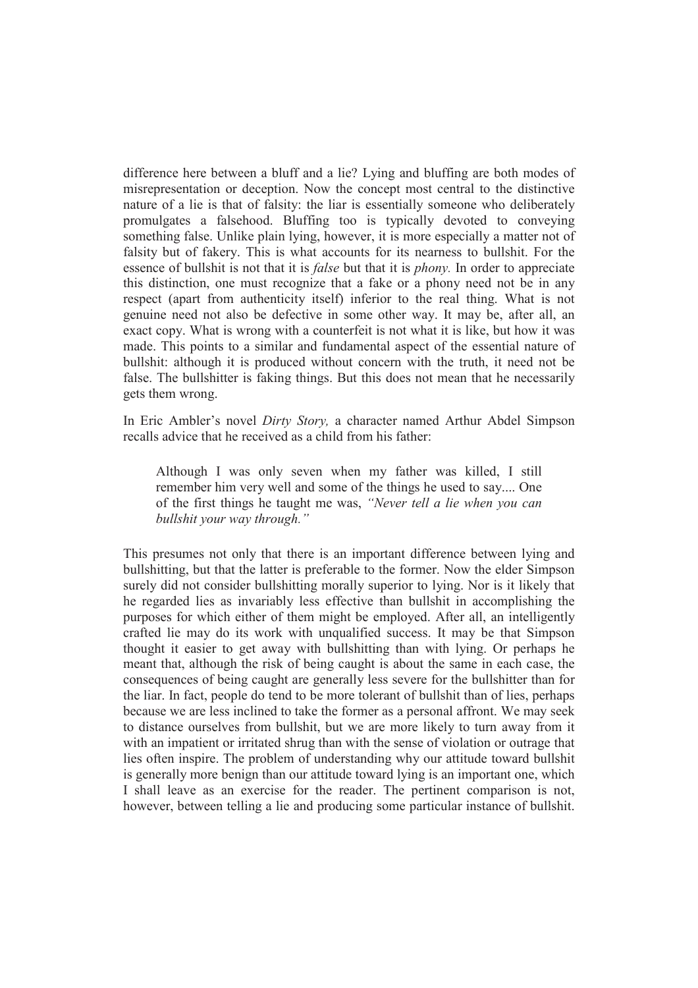difference here between a bluff and a lie? Lying and bluffing are both modes of misrepresentation or deception. Now the concept most central to the distinctive nature of a lie is that of falsity: the liar is essentially someone who deliberately promulgates a falsehood. Bluffing too is typically devoted to conveying something false. Unlike plain lying, however, it is more especially a matter not of falsity but of fakery. This is what accounts for its nearness to bullshit. For the essence of bullshit is not that it is  $false$  but that it is  $phony$ . In order to appreciate this distinction, one must recognize that a fake or a phony need not be in any respect (apart from authenticity itself) inferior to the real thing. What is not genuine need not also be defective in some other way. It may be, after all, an exact copy. What is wrong with a counterfeit is not what it is like, but how it was made. This points to a similar and fundamental aspect of the essential nature of bullshit: although it is produced without concern with the truth, it need not be false. The bullshitter is faking things. But this does not mean that he necessarily gets them wrong.

In Eric Ambler's novel *Dirty Story*, a character named Arthur Abdel Simpson recalls advice that he received as a child from his father:

Although I was only seven when my father was killed, I still remember him very well and some of the things he used to say.... One of the first things he taught me was, "Never tell a lie when you can bullshit your way through."

This presumes not only that there is an important difference between lying and bullshitting, but that the latter is preferable to the former. Now the elder Simpson surely did not consider bullshitting morally superior to lying. Nor is it likely that he regarded lies as invariably less effective than bullshit in accomplishing the purposes for which either of them might be employed. After all, an intelligently crafted lie may do its work with unqualified success. It may be that Simpson thought it easier to get away with bullshitting than with lying. Or perhaps he meant that, although the risk of being caught is about the same in each case, the consequences of being caught are generally less severe for the bullshitter than for the liar. In fact, people do tend to be more tolerant of bullshit than of lies, perhaps because we are less inclined to take the former as a personal affront. We may seek to distance ourselves from bullshit, but we are more likely to turn away from it with an impatient or irritated shrug than with the sense of violation or outrage that lies often inspire. The problem of understanding why our attitude toward bullshit is generally more benign than our attitude toward lying is an important one, which I shall leave as an exercise for the reader. The pertinent comparison is not, however, between telling a lie and producing some particular instance of bullshit.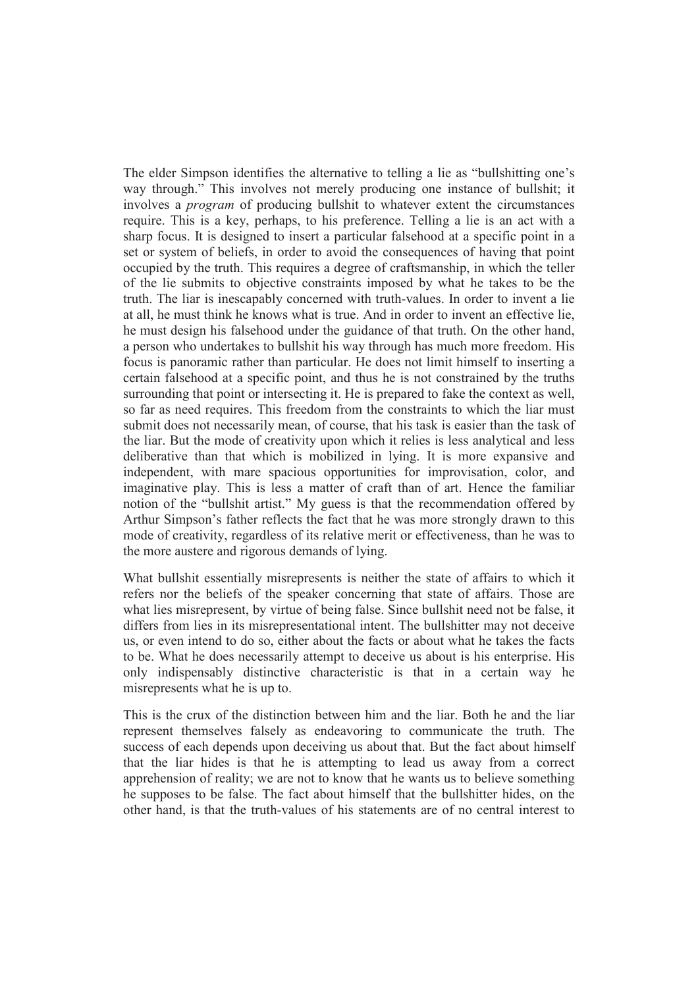The elder Simpson identifies the alternative to telling a lie as "bullshitting one's way through." This involves not merely producing one instance of bullshit; it involves a *program* of producing bullshit to whatever extent the circumstances require. This is a key, perhaps, to his preference. Telling a lie is an act with a sharp focus. It is designed to insert a particular falsehood at a specific point in a set or system of beliefs, in order to avoid the consequences of having that point occupied by the truth. This requires a degree of craftsmanship, in which the teller of the lie submits to objective constraints imposed by what he takes to be the truth. The liar is inescapably concerned with truth-values. In order to invent a lie at all, he must think he knows what is true. And in order to invent an effective lie, he must design his falsehood under the guidance of that truth. On the other hand, a person who undertakes to bullshit his way through has much more freedom. His focus is panoramic rather than particular. He does not limit himself to inserting a certain falsehood at a specific point, and thus he is not constrained by the truths surrounding that point or intersecting it. He is prepared to fake the context as well, so far as need requires. This freedom from the constraints to which the liar must submit does not necessarily mean, of course, that his task is easier than the task of the liar. But the mode of creativity upon which it relies is less analytical and less deliberative than that which is mobilized in lying. It is more expansive and independent, with mare spacious opportunities for improvisation, color, and imaginative play. This is less a matter of craft than of art. Hence the familiar notion of the "bullshit artist." My guess is that the recommendation offered by Arthur Simpson's father reflects the fact that he was more strongly drawn to this mode of creativity, regardless of its relative merit or effectiveness, than he was to the more austere and rigorous demands of lying.

What bullshit essentially misrepresents is neither the state of affairs to which it refers nor the beliefs of the speaker concerning that state of affairs. Those are what lies misrepresent, by virtue of being false. Since bullshit need not be false, it differs from lies in its misrepresentational intent. The bullshitter may not deceive us, or even intend to do so, either about the facts or about what he takes the facts to be. What he does necessarily attempt to deceive us about is his enterprise. His only indispensably distinctive characteristic is that in a certain way he misrepresents what he is up to.

This is the crux of the distinction between him and the liar. Both he and the liar represent themselves falsely as endeavoring to communicate the truth. The success of each depends upon deceiving us about that. But the fact about himself that the liar hides is that he is attempting to lead us away from a correct apprehension of reality; we are not to know that he wants us to believe something he supposes to be false. The fact about himself that the bullshitter hides, on the other hand, is that the truth-values of his statements are of no central interest to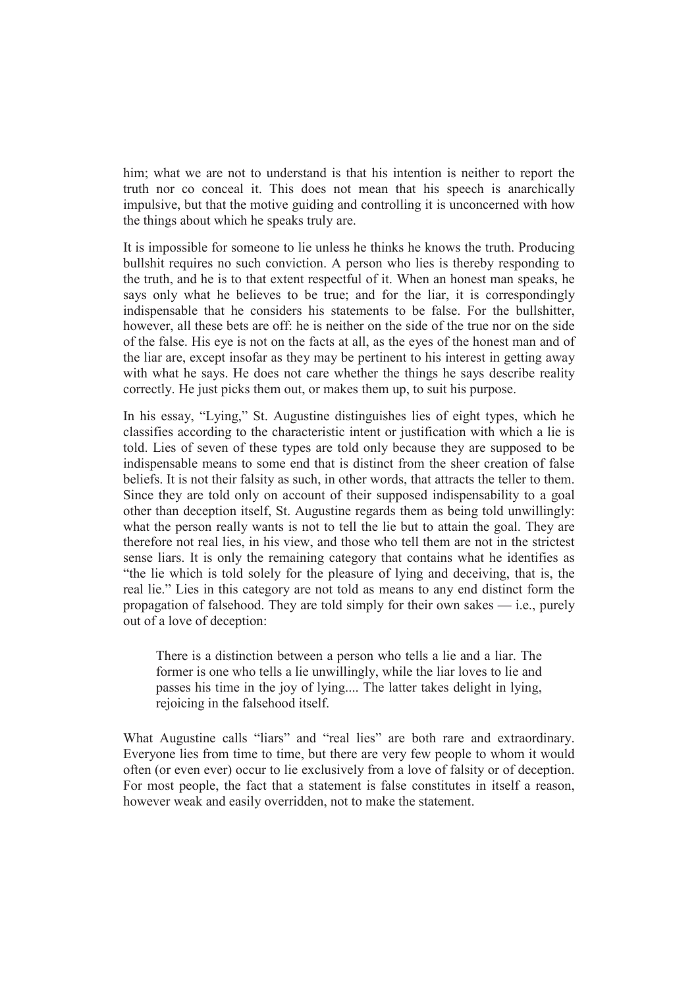him; what we are not to understand is that his intention is neither to report the truth nor co conceal it. This does not mean that his speech is anarchically impulsive, but that the motive guiding and controlling it is unconcerned with how the things about which he speaks truly are.

It is impossible for someone to lie unless he thinks he knows the truth. Producing bullshit requires no such conviction. A person who lies is thereby responding to the truth, and he is to that extent respectful of it. When an honest man speaks, he says only what he believes to be true; and for the liar, it is correspondingly indispensable that he considers his statements to be false. For the bullshitter, however, all these bets are off: he is neither on the side of the true nor on the side of the false. His eye is not on the facts at all, as the eyes of the honest man and of the liar are, except insofar as they may be pertinent to his interest in getting away with what he says. He does not care whether the things he says describe reality correctly. He just picks them out, or makes them up, to suit his purpose.

In his essay, "Lying," St. Augustine distinguishes lies of eight types, which he classifies according to the characteristic intent or justification with which a lie is told. Lies of seven of these types are told only because they are supposed to be indispensable means to some end that is distinct from the sheer creation of false beliefs. It is not their falsity as such, in other words, that attracts the teller to them. Since they are told only on account of their supposed indispensability to a goal other than deception itself, St. Augustine regards them as being told unwillingly: what the person really wants is not to tell the lie but to attain the goal. They are therefore not real lies, in his view, and those who tell them are not in the strictest sense liars. It is only the remaining category that contains what he identifies as "the lie which is told solely for the pleasure of lying and deceiving, that is, the real lie." Lies in this category are not told as means to any end distinct form the propagation of falsehood. They are told simply for their own sakes — i.e., purely out of a love of deception:

There is a distinction between a person who tells a lie and a liar. The former is one who tells a lie unwillingly, while the liar loves to lie and passes his time in the joy of lying.... The latter takes delight in lying, rejoicing in the falsehood itself.

What Augustine calls "liars" and "real lies" are both rare and extraordinary. Everyone lies from time to time, but there are very few people to whom it would often (or even ever) occur to lie exclusively from a love of falsity or of deception. For most people, the fact that a statement is false constitutes in itself a reason, however weak and easily overridden, not to make the statement.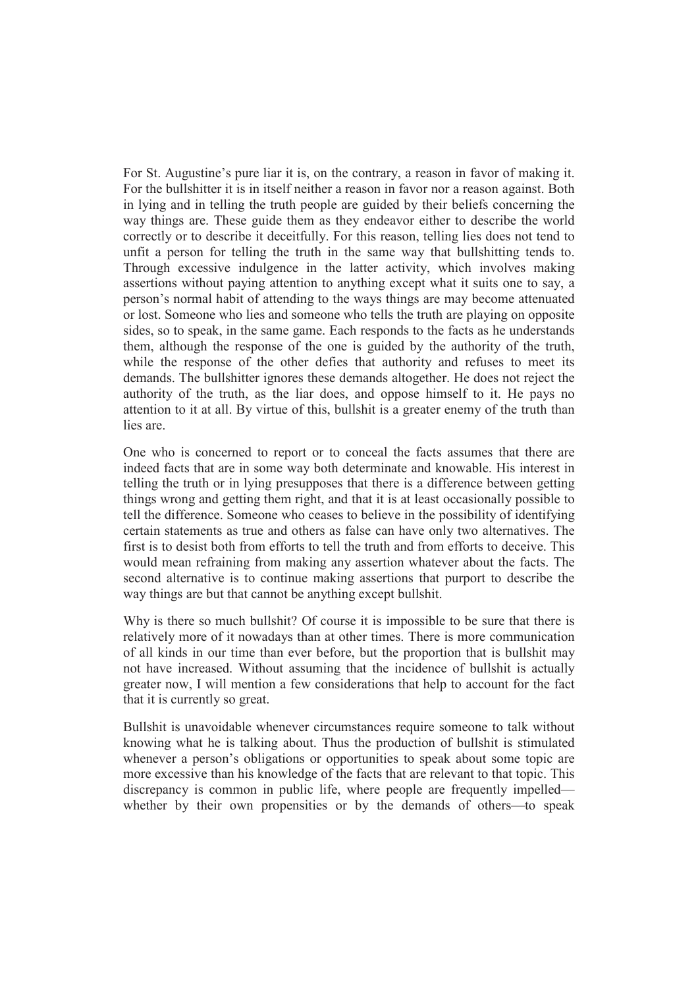For St. Augustine's pure liar it is, on the contrary, a reason in favor of making it. For the bullshitter it is in itself neither a reason in favor nor a reason against. Both in lying and in telling the truth people are guided by their beliefs concerning the way things are. These guide them as they endeavor either to describe the world correctly or to describe it deceitfully. For this reason, telling lies does not tend to unfit a person for telling the truth in the same way that bullshitting tends to. Through excessive indulgence in the latter activity, which involves making assertions without paying attention to anything except what it suits one to say, a person's normal habit of attending to the ways things are may become attenuated or lost. Someone who lies and someone who tells the truth are playing on opposite sides, so to speak, in the same game. Each responds to the facts as he understands them, although the response of the one is guided by the authority of the truth, while the response of the other defies that authority and refuses to meet its demands. The bullshitter ignores these demands altogether. He does not reject the authority of the truth, as the liar does, and oppose himself to it. He pays no attention to it at all. By virtue of this, bullshit is a greater enemy of the truth than lies are.

One who is concerned to report or to conceal the facts assumes that there are indeed facts that are in some way both determinate and knowable. His interest in telling the truth or in lying presupposes that there is a difference between getting things wrong and getting them right, and that it is at least occasionally possible to tell the difference. Someone who ceases to believe in the possibility of identifying certain statements as true and others as false can have only two alternatives. The first is to desist both from efforts to tell the truth and from efforts to deceive. This would mean refraining from making any assertion whatever about the facts. The second alternative is to continue making assertions that purport to describe the way things are but that cannot be anything except bullshit.

Why is there so much bullshit? Of course it is impossible to be sure that there is relatively more of it nowadays than at other times. There is more communication of all kinds in our time than ever before, but the proportion that is bullshit may not have increased. Without assuming that the incidence of bullshit is actually greater now, I will mention a few considerations that help to account for the fact that it is currently so great.

Bullshit is unavoidable whenever circumstances require someone to talk without knowing what he is talking about. Thus the production of bullshit is stimulated whenever a person's obligations or opportunities to speak about some topic are more excessive than his knowledge of the facts that are relevant to that topic. This discrepancy is common in public life, where people are frequently impelled whether by their own propensities or by the demands of others—to speak